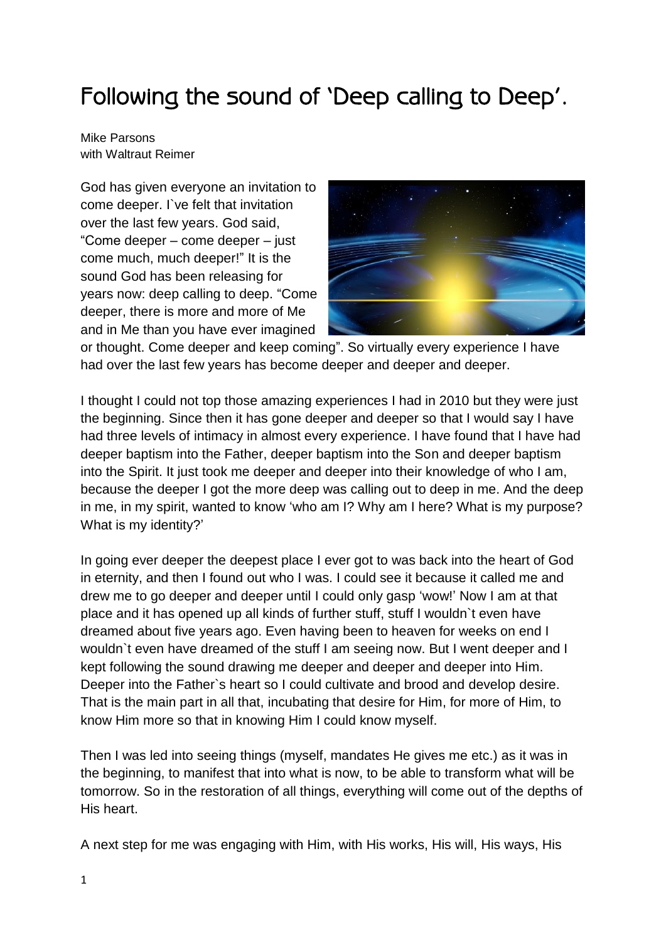## Following the sound of 'Deep calling to Deep'.

Mike Parsons with Waltraut Reimer

God has given everyone an invitation to come deeper. I`ve felt that invitation over the last few years. God said, "Come deeper – come deeper – just come much, much deeper!" It is the sound God has been releasing for years now: deep calling to deep. "Come deeper, there is more and more of Me and in Me than you have ever imagined



or thought. Come deeper and keep coming". So virtually every experience I have had over the last few years has become deeper and deeper and deeper.

I thought I could not top those amazing experiences I had in 2010 but they were just the beginning. Since then it has gone deeper and deeper so that I would say I have had three levels of intimacy in almost every experience. I have found that I have had deeper baptism into the Father, deeper baptism into the Son and deeper baptism into the Spirit. It just took me deeper and deeper into their knowledge of who I am, because the deeper I got the more deep was calling out to deep in me. And the deep in me, in my spirit, wanted to know 'who am I? Why am I here? What is my purpose? What is my identity?'

In going ever deeper the deepest place I ever got to was back into the heart of God in eternity, and then I found out who I was. I could see it because it called me and drew me to go deeper and deeper until I could only gasp 'wow!' Now I am at that place and it has opened up all kinds of further stuff, stuff I wouldn`t even have dreamed about five years ago. Even having been to heaven for weeks on end I wouldn`t even have dreamed of the stuff I am seeing now. But I went deeper and I kept following the sound drawing me deeper and deeper and deeper into Him. Deeper into the Father`s heart so I could cultivate and brood and develop desire. That is the main part in all that, incubating that desire for Him, for more of Him, to know Him more so that in knowing Him I could know myself.

Then I was led into seeing things (myself, mandates He gives me etc.) as it was in the beginning, to manifest that into what is now, to be able to transform what will be tomorrow. So in the restoration of all things, everything will come out of the depths of His heart.

A next step for me was engaging with Him, with His works, His will, His ways, His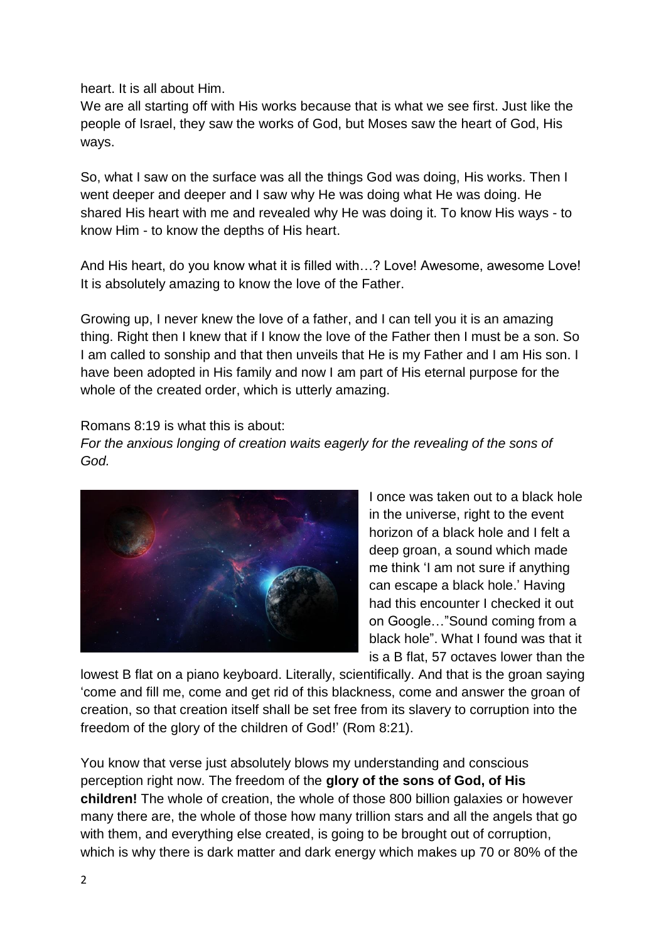heart. It is all about Him.

We are all starting off with His works because that is what we see first. Just like the people of Israel, they saw the works of God, but Moses saw the heart of God, His ways.

So, what I saw on the surface was all the things God was doing, His works. Then I went deeper and deeper and I saw why He was doing what He was doing. He shared His heart with me and revealed why He was doing it. To know His ways - to know Him - to know the depths of His heart.

And His heart, do you know what it is filled with…? Love! Awesome, awesome Love! It is absolutely amazing to know the love of the Father.

Growing up, I never knew the love of a father, and I can tell you it is an amazing thing. Right then I knew that if I know the love of the Father then I must be a son. So I am called to sonship and that then unveils that He is my Father and I am His son. I have been adopted in His family and now I am part of His eternal purpose for the whole of the created order, which is utterly amazing.

Romans 8:19 is what this is about:

*For the anxious longing of creation waits eagerly for the revealing of the sons of God.* 



I once was taken out to a black hole in the universe, right to the event horizon of a black hole and I felt a deep groan, a sound which made me think 'I am not sure if anything can escape a black hole.' Having had this encounter I checked it out on Google…"Sound coming from a black hole". What I found was that it is a B flat, 57 octaves lower than the

lowest B flat on a piano keyboard. Literally, scientifically. And that is the groan saying 'come and fill me, come and get rid of this blackness, come and answer the groan of creation, so that creation itself shall be set free from its slavery to corruption into the freedom of the glory of the children of God!' (Rom 8:21).

You know that verse just absolutely blows my understanding and conscious perception right now. The freedom of the **glory of the sons of God, of His children!** The whole of creation, the whole of those 800 billion galaxies or however many there are, the whole of those how many trillion stars and all the angels that go with them, and everything else created, is going to be brought out of corruption, which is why there is dark matter and dark energy which makes up 70 or 80% of the